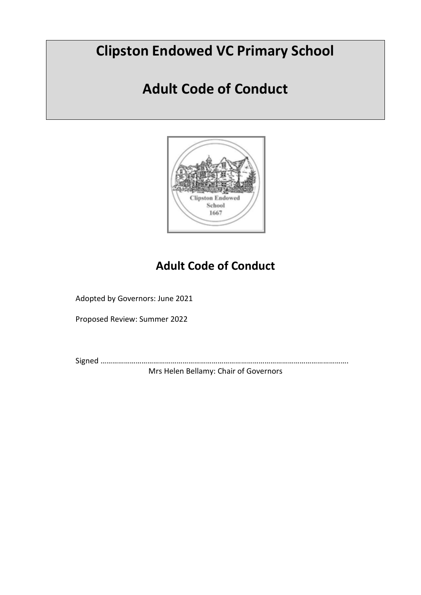# **Clipston Endowed VC Primary School**

# **Adult Code of Conduct**



# **Adult Code of Conduct**

Adopted by Governors: June 2021

Proposed Review: Summer 2022

Signed ……………………………………………………………………………………………………………….

Mrs Helen Bellamy: Chair of Governors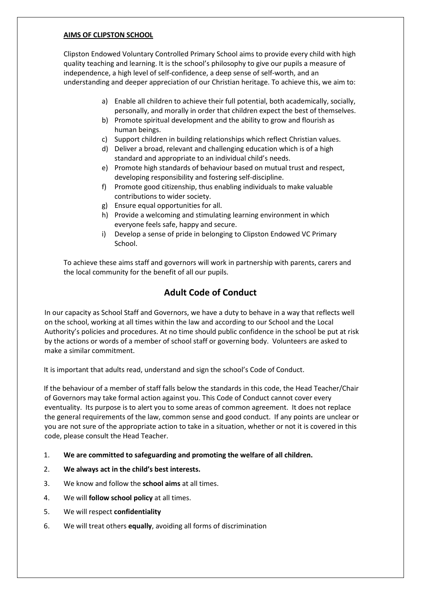#### **AIMS OF CLIPSTON SCHOOL**

Clipston Endowed Voluntary Controlled Primary School aims to provide every child with high quality teaching and learning. It is the school's philosophy to give our pupils a measure of independence, a high level of self-confidence, a deep sense of self-worth, and an understanding and deeper appreciation of our Christian heritage. To achieve this, we aim to:

- a) Enable all children to achieve their full potential, both academically, socially, personally, and morally in order that children expect the best of themselves.
- b) Promote spiritual development and the ability to grow and flourish as human beings.
- c) Support children in building relationships which reflect Christian values.
- d) Deliver a broad, relevant and challenging education which is of a high standard and appropriate to an individual child's needs.
- e) Promote high standards of behaviour based on mutual trust and respect, developing responsibility and fostering self-discipline.
- f) Promote good citizenship, thus enabling individuals to make valuable contributions to wider society.
- g) Ensure equal opportunities for all.
- h) Provide a welcoming and stimulating learning environment in which everyone feels safe, happy and secure.
- i) Develop a sense of pride in belonging to Clipston Endowed VC Primary School.

To achieve these aims staff and governors will work in partnership with parents, carers and the local community for the benefit of all our pupils.

#### **Adult Code of Conduct**

In our capacity as School Staff and Governors, we have a duty to behave in a way that reflects well on the school, working at all times within the law and according to our School and the Local Authority's policies and procedures. At no time should public confidence in the school be put at risk by the actions or words of a member of school staff or governing body. Volunteers are asked to make a similar commitment.

It is important that adults read, understand and sign the school's Code of Conduct.

If the behaviour of a member of staff falls below the standards in this code, the Head Teacher/Chair of Governors may take formal action against you. This Code of Conduct cannot cover every eventuality. Its purpose is to alert you to some areas of common agreement. It does not replace the general requirements of the law, common sense and good conduct. If any points are unclear or you are not sure of the appropriate action to take in a situation, whether or not it is covered in this code, please consult the Head Teacher.

- 1. **We are committed to safeguarding and promoting the welfare of all children.**
- 2. **We always act in the child's best interests.**
- 3. We know and follow the **school aims** at all times.
- 4. We will **follow school policy** at all times.
- 5. We will respect **confidentiality**
- 6. We will treat others **equally**, avoiding all forms of discrimination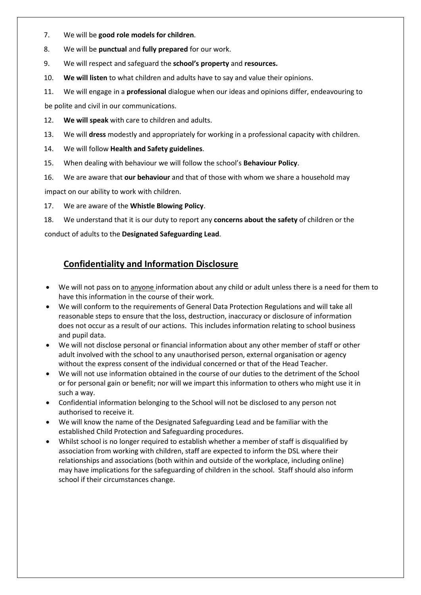- 7. We will be **good role models for children**.
- 8. We will be **punctual** and **fully prepared** for our work.
- 9. We will respect and safeguard the **school's property** and **resources.**
- 10. **We will listen** to what children and adults have to say and value their opinions.
- 11. We will engage in a **professional** dialogue when our ideas and opinions differ, endeavouring to

be polite and civil in our communications.

- 12. **We will speak** with care to children and adults.
- 13. We will **dress** modestly and appropriately for working in a professional capacity with children.
- 14. We will follow **Health and Safety guidelines**.
- 15. When dealing with behaviour we will follow the school's **Behaviour Policy**.
- 16. We are aware that **our behaviour** and that of those with whom we share a household may

impact on our ability to work with children.

17. We are aware of the **Whistle Blowing Policy**.

18. We understand that it is our duty to report any **concerns about the safety** of children or the

conduct of adults to the **Designated Safeguarding Lead**.

#### **Confidentiality and Information Disclosure**

- We will not pass on to anyone information about any child or adult unless there is a need for them to have this information in the course of their work.
- We will conform to the requirements of General Data Protection Regulations and will take all reasonable steps to ensure that the loss, destruction, inaccuracy or disclosure of information does not occur as a result of our actions. This includes information relating to school business and pupil data.
- We will not disclose personal or financial information about any other member of staff or other adult involved with the school to any unauthorised person, external organisation or agency without the express consent of the individual concerned or that of the Head Teacher.
- We will not use information obtained in the course of our duties to the detriment of the School or for personal gain or benefit; nor will we impart this information to others who might use it in such a way.
- Confidential information belonging to the School will not be disclosed to any person not authorised to receive it.
- We will know the name of the Designated Safeguarding Lead and be familiar with the established Child Protection and Safeguarding procedures.
- Whilst school is no longer required to establish whether a member of staff is disqualified by association from working with children, staff are expected to inform the DSL where their relationships and associations (both within and outside of the workplace, including online) may have implications for the safeguarding of children in the school. Staff should also inform school if their circumstances change.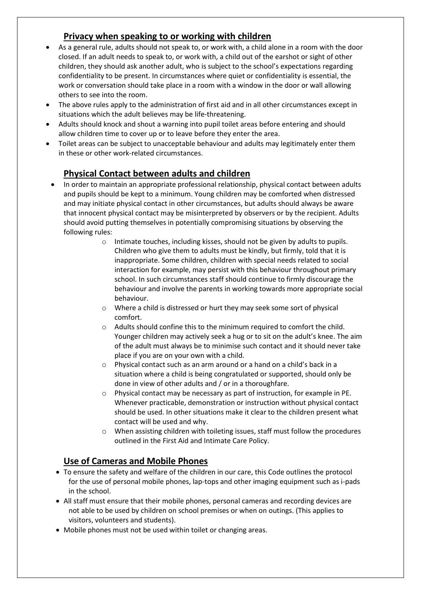#### **Privacy when speaking to or working with children**

- As a general rule, adults should not speak to, or work with, a child alone in a room with the door closed. If an adult needs to speak to, or work with, a child out of the earshot or sight of other children, they should ask another adult, who is subject to the school's expectations regarding confidentiality to be present. In circumstances where quiet or confidentiality is essential, the work or conversation should take place in a room with a window in the door or wall allowing others to see into the room.
- The above rules apply to the administration of first aid and in all other circumstances except in situations which the adult believes may be life-threatening.
- Adults should knock and shout a warning into pupil toilet areas before entering and should allow children time to cover up or to leave before they enter the area.
- Toilet areas can be subject to unacceptable behaviour and adults may legitimately enter them in these or other work-related circumstances.

#### **Physical Contact between adults and children**

- In order to maintain an appropriate professional relationship, physical contact between adults and pupils should be kept to a minimum. Young children may be comforted when distressed and may initiate physical contact in other circumstances, but adults should always be aware that innocent physical contact may be misinterpreted by observers or by the recipient. Adults should avoid putting themselves in potentially compromising situations by observing the following rules:
	- o Intimate touches, including kisses, should not be given by adults to pupils. Children who give them to adults must be kindly, but firmly, told that it is inappropriate. Some children, children with special needs related to social interaction for example, may persist with this behaviour throughout primary school. In such circumstances staff should continue to firmly discourage the behaviour and involve the parents in working towards more appropriate social behaviour.
	- o Where a child is distressed or hurt they may seek some sort of physical comfort.
	- o Adults should confine this to the minimum required to comfort the child. Younger children may actively seek a hug or to sit on the adult's knee. The aim of the adult must always be to minimise such contact and it should never take place if you are on your own with a child.
	- o Physical contact such as an arm around or a hand on a child's back in a situation where a child is being congratulated or supported, should only be done in view of other adults and / or in a thoroughfare.
	- o Physical contact may be necessary as part of instruction, for example in PE. Whenever practicable, demonstration or instruction without physical contact should be used. In other situations make it clear to the children present what contact will be used and why.
	- o When assisting children with toileting issues, staff must follow the procedures outlined in the First Aid and Intimate Care Policy.

#### **Use of Cameras and Mobile Phones**

- To ensure the safety and welfare of the children in our care, this Code outlines the protocol for the use of personal mobile phones, lap-tops and other imaging equipment such as i-pads in the school.
- All staff must ensure that their mobile phones, personal cameras and recording devices are not able to be used by children on school premises or when on outings. (This applies to visitors, volunteers and students).
- Mobile phones must not be used within toilet or changing areas.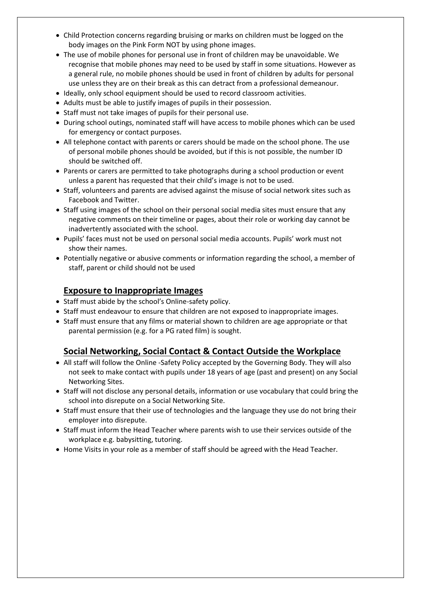- Child Protection concerns regarding bruising or marks on children must be logged on the body images on the Pink Form NOT by using phone images.
- The use of mobile phones for personal use in front of children may be unavoidable. We recognise that mobile phones may need to be used by staff in some situations. However as a general rule, no mobile phones should be used in front of children by adults for personal use unless they are on their break as this can detract from a professional demeanour.
- Ideally, only school equipment should be used to record classroom activities.
- Adults must be able to justify images of pupils in their possession.
- Staff must not take images of pupils for their personal use.
- During school outings, nominated staff will have access to mobile phones which can be used for emergency or contact purposes.
- All telephone contact with parents or carers should be made on the school phone. The use of personal mobile phones should be avoided, but if this is not possible, the number ID should be switched off.
- Parents or carers are permitted to take photographs during a school production or event unless a parent has requested that their child's image is not to be used.
- Staff, volunteers and parents are advised against the misuse of social network sites such as Facebook and Twitter.
- Staff using images of the school on their personal social media sites must ensure that any negative comments on their timeline or pages, about their role or working day cannot be inadvertently associated with the school.
- Pupils' faces must not be used on personal social media accounts. Pupils' work must not show their names.
- Potentially negative or abusive comments or information regarding the school, a member of staff, parent or child should not be used

#### **Exposure to Inappropriate Images**

- Staff must abide by the school's Online-safety policy.
- Staff must endeavour to ensure that children are not exposed to inappropriate images.
- Staff must ensure that any films or material shown to children are age appropriate or that parental permission (e.g. for a PG rated film) is sought.

#### **Social Networking, Social Contact & Contact Outside the Workplace**

- All staff will follow the Online -Safety Policy accepted by the Governing Body. They will also not seek to make contact with pupils under 18 years of age (past and present) on any Social Networking Sites.
- Staff will not disclose any personal details, information or use vocabulary that could bring the school into disrepute on a Social Networking Site.
- Staff must ensure that their use of technologies and the language they use do not bring their employer into disrepute.
- Staff must inform the Head Teacher where parents wish to use their services outside of the workplace e.g. babysitting, tutoring.
- Home Visits in your role as a member of staff should be agreed with the Head Teacher.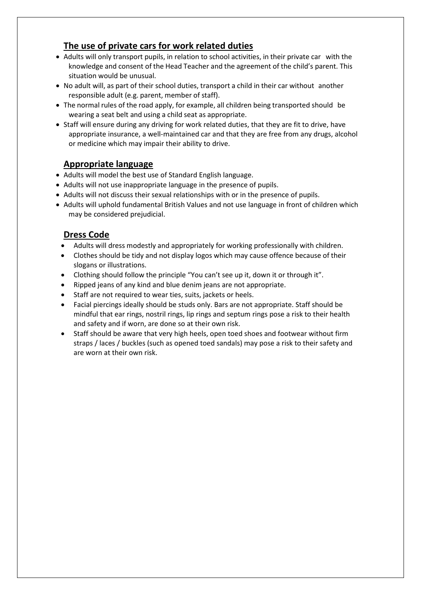#### **The use of private cars for work related duties**

- Adults will only transport pupils, in relation to school activities, in their private car with the knowledge and consent of the Head Teacher and the agreement of the child's parent. This situation would be unusual.
- No adult will, as part of their school duties, transport a child in their car without another responsible adult (e.g. parent, member of staff).
- The normal rules of the road apply, for example, all children being transported should be wearing a seat belt and using a child seat as appropriate.
- Staff will ensure during any driving for work related duties, that they are fit to drive, have appropriate insurance, a well-maintained car and that they are free from any drugs, alcohol or medicine which may impair their ability to drive.

#### **Appropriate language**

- Adults will model the best use of Standard English language.
- Adults will not use inappropriate language in the presence of pupils.
- Adults will not discuss their sexual relationships with or in the presence of pupils.
- Adults will uphold fundamental British Values and not use language in front of children which may be considered prejudicial.

#### **Dress Code**

- Adults will dress modestly and appropriately for working professionally with children.
- Clothes should be tidy and not display logos which may cause offence because of their slogans or illustrations.
- Clothing should follow the principle "You can't see up it, down it or through it".
- Ripped jeans of any kind and blue denim jeans are not appropriate.
- Staff are not required to wear ties, suits, jackets or heels.
- Facial piercings ideally should be studs only. Bars are not appropriate. Staff should be mindful that ear rings, nostril rings, lip rings and septum rings pose a risk to their health and safety and if worn, are done so at their own risk.
- Staff should be aware that very high heels, open toed shoes and footwear without firm straps / laces / buckles (such as opened toed sandals) may pose a risk to their safety and are worn at their own risk.